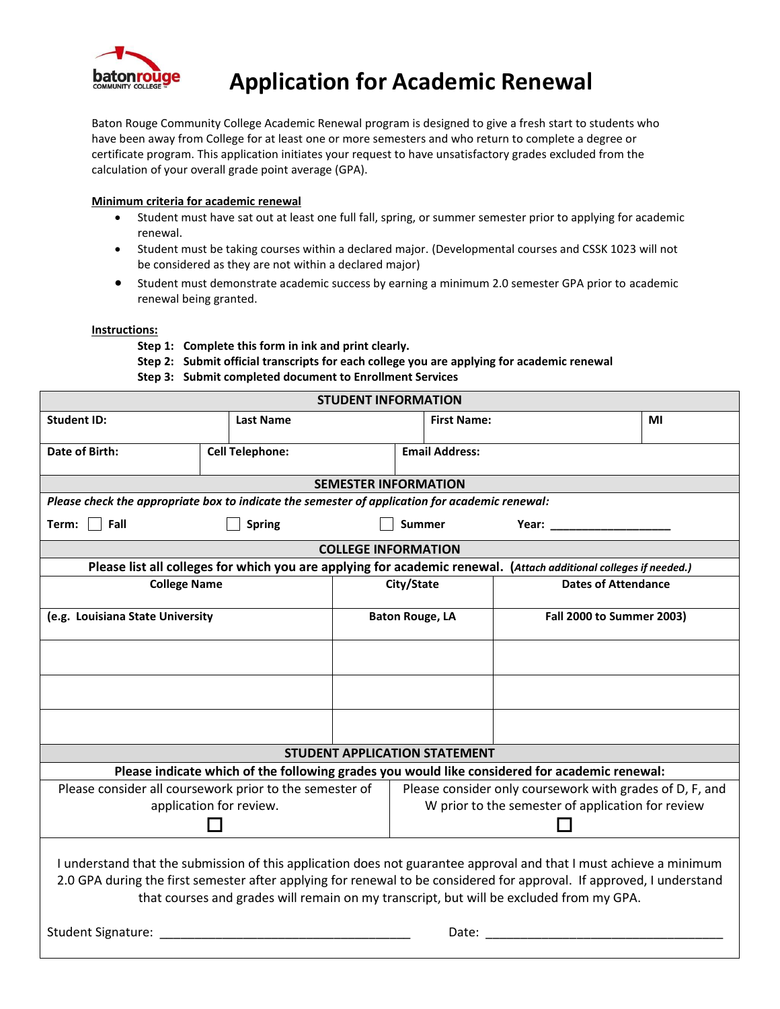

## **Application for Academic Renewal**

Baton Rouge Community College Academic Renewal program is designed to give a fresh start to students who have been away from College for at least one or more semesters and who return to complete a degree or certificate program. This application initiates your request to have unsatisfactory grades excluded from the calculation of your overall grade point average (GPA).

## **Minimum criteria for academic renewal**

- Student must have sat out at least one full fall, spring, or summer semester prior to applying for academic renewal.
- Student must be taking courses within a declared major. (Developmental courses and CSSK 1023 will not be considered as they are not within a declared major)
- Student must demonstrate academic success by earning a minimum 2.0 semester GPA prior to academic renewal being granted.

## **Instructions:**

- **Step 1: Complete this form in ink and print clearly.**
- **Step 2: Submit official transcripts for each college you are applying for academic renewal**
- **Step 3: Submit completed document to Enrollment Services**

| <b>STUDENT INFORMATION</b>                                                                                                                                                                                                                                                                                                                                                                                                                                                                                                                                                                                           |                        |                        |                                                          |                                  |    |  |
|----------------------------------------------------------------------------------------------------------------------------------------------------------------------------------------------------------------------------------------------------------------------------------------------------------------------------------------------------------------------------------------------------------------------------------------------------------------------------------------------------------------------------------------------------------------------------------------------------------------------|------------------------|------------------------|----------------------------------------------------------|----------------------------------|----|--|
| <b>Student ID:</b>                                                                                                                                                                                                                                                                                                                                                                                                                                                                                                                                                                                                   | <b>Last Name</b>       |                        | <b>First Name:</b>                                       |                                  | ΜI |  |
| Date of Birth:                                                                                                                                                                                                                                                                                                                                                                                                                                                                                                                                                                                                       | <b>Cell Telephone:</b> |                        | <b>Email Address:</b>                                    |                                  |    |  |
| <b>SEMESTER INFORMATION</b>                                                                                                                                                                                                                                                                                                                                                                                                                                                                                                                                                                                          |                        |                        |                                                          |                                  |    |  |
| Please check the appropriate box to indicate the semester of application for academic renewal:                                                                                                                                                                                                                                                                                                                                                                                                                                                                                                                       |                        |                        |                                                          |                                  |    |  |
| Term: $\Box$ Fall                                                                                                                                                                                                                                                                                                                                                                                                                                                                                                                                                                                                    | <b>Spring</b>          |                        | <b>Summer</b>                                            | <b>Year: Example 2018</b>        |    |  |
| <b>COLLEGE INFORMATION</b>                                                                                                                                                                                                                                                                                                                                                                                                                                                                                                                                                                                           |                        |                        |                                                          |                                  |    |  |
| Please list all colleges for which you are applying for academic renewal. (Attach additional colleges if needed.)                                                                                                                                                                                                                                                                                                                                                                                                                                                                                                    |                        |                        |                                                          |                                  |    |  |
| <b>College Name</b>                                                                                                                                                                                                                                                                                                                                                                                                                                                                                                                                                                                                  |                        | City/State             |                                                          | <b>Dates of Attendance</b>       |    |  |
| (e.g. Louisiana State University                                                                                                                                                                                                                                                                                                                                                                                                                                                                                                                                                                                     |                        | <b>Baton Rouge, LA</b> |                                                          | <b>Fall 2000 to Summer 2003)</b> |    |  |
|                                                                                                                                                                                                                                                                                                                                                                                                                                                                                                                                                                                                                      |                        |                        |                                                          |                                  |    |  |
|                                                                                                                                                                                                                                                                                                                                                                                                                                                                                                                                                                                                                      |                        |                        |                                                          |                                  |    |  |
|                                                                                                                                                                                                                                                                                                                                                                                                                                                                                                                                                                                                                      |                        |                        |                                                          |                                  |    |  |
| <b>STUDENT APPLICATION STATEMENT</b>                                                                                                                                                                                                                                                                                                                                                                                                                                                                                                                                                                                 |                        |                        |                                                          |                                  |    |  |
| Please indicate which of the following grades you would like considered for academic renewal:                                                                                                                                                                                                                                                                                                                                                                                                                                                                                                                        |                        |                        |                                                          |                                  |    |  |
| Please consider all coursework prior to the semester of                                                                                                                                                                                                                                                                                                                                                                                                                                                                                                                                                              |                        |                        | Please consider only coursework with grades of D, F, and |                                  |    |  |
| application for review.                                                                                                                                                                                                                                                                                                                                                                                                                                                                                                                                                                                              |                        |                        | W prior to the semester of application for review        |                                  |    |  |
| I understand that the submission of this application does not guarantee approval and that I must achieve a minimum<br>2.0 GPA during the first semester after applying for renewal to be considered for approval. If approved, I understand<br>that courses and grades will remain on my transcript, but will be excluded from my GPA.<br><b>Student Signature:</b><br>Date:<br><u> 1999 - Johann John Harry Harry Harry Harry Harry Harry Harry Harry Harry Harry Harry Harry Harry Harry Harry Harry Harry Harry Harry Harry Harry Harry Harry Harry Harry Harry Harry Harry Harry Harry Harry Harry Harry Har</u> |                        |                        |                                                          |                                  |    |  |
|                                                                                                                                                                                                                                                                                                                                                                                                                                                                                                                                                                                                                      |                        |                        |                                                          |                                  |    |  |